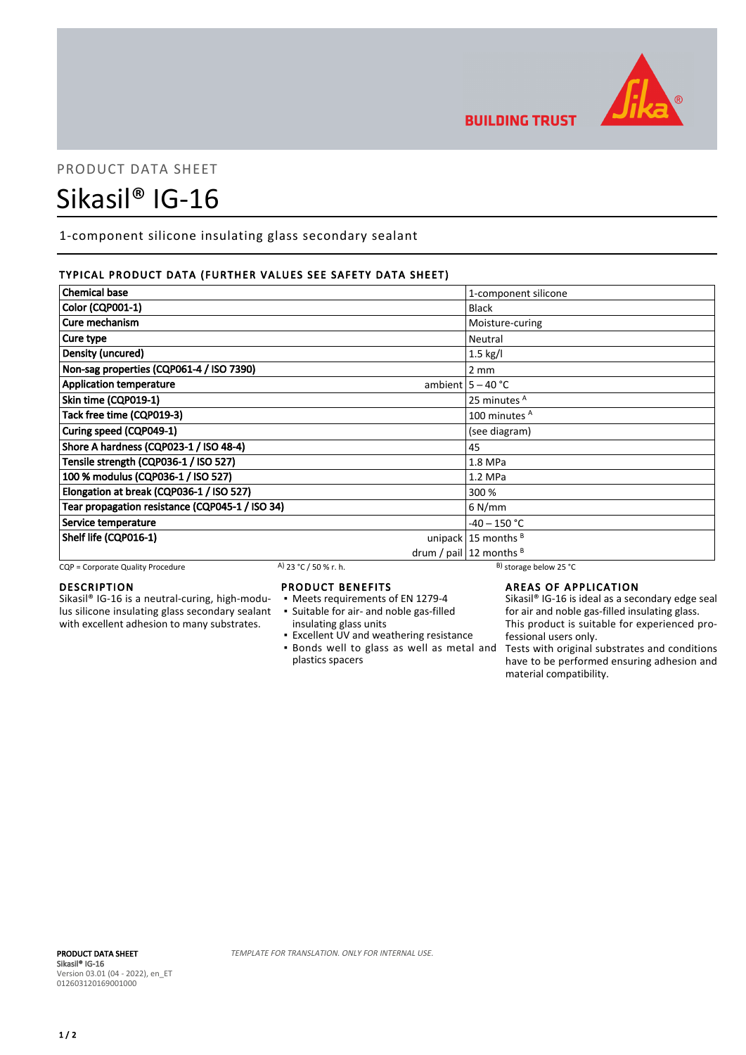

**BUILDING TRUST** 

## PRODUCT DATA SHEET

# Sikasil® IG-16

1-component silicone insulating glass secondary sealant

#### TYPICAL PRODUCT DATA (FURTHER VALUES SEE SAFETY DATA SHEET)

| <b>Chemical base</b>                            | 1-component silicone          |
|-------------------------------------------------|-------------------------------|
| Color (CQP001-1)                                | <b>Black</b>                  |
| Cure mechanism                                  | Moisture-curing               |
| Cure type                                       | Neutral                       |
| Density (uncured)                               | $1.5$ kg/l                    |
| Non-sag properties (CQP061-4 / ISO 7390)        | $2 \, \text{mm}$              |
| <b>Application temperature</b>                  | ambient $5 - 40$ °C           |
| Skin time (CQP019-1)                            | 25 minutes A                  |
| Tack free time (CQP019-3)                       | 100 minutes <sup>A</sup>      |
| Curing speed (CQP049-1)                         | (see diagram)                 |
| Shore A hardness (CQP023-1 / ISO 48-4)          | 45                            |
| Tensile strength (CQP036-1 / ISO 527)           | 1.8 MPa                       |
| 100 % modulus (CQP036-1 / ISO 527)              | $1.2$ MPa                     |
| Elongation at break (CQP036-1 / ISO 527)        | 300 %                         |
| Tear propagation resistance (CQP045-1 / ISO 34) | 6 N/mm                        |
| Service temperature                             | $-40 - 150$ °C                |
| Shelf life (CQP016-1)                           | unipack $15$ months $B$       |
|                                                 | drum / pail $ 12$ months $ 8$ |

CQP = Corporate Quality Procedure A) 23 °C / 50 % r. h. B) storage below 25 °C

#### DESCRIPTION

Sikasil® IG-16 is a neutral-curing, high-modulus silicone insulating glass secondary sealant with excellent adhesion to many substrates.

#### PRODUCT BENEFITS

- Meets requirements of EN 1279-4
- Suitable for air- and noble gas-filled ▪
- insulating glass units
- Excellent UV and weathering resistance **.** Bonds well to glass as well as metal and plastics spacers

### AREAS OF APPLICATION

Sikasil® IG-16 is ideal as a secondary edge seal for air and noble gas-filled insulating glass. This product is suitable for experienced professional users only.

Tests with original substrates and conditions have to be performed ensuring adhesion and material compatibility.